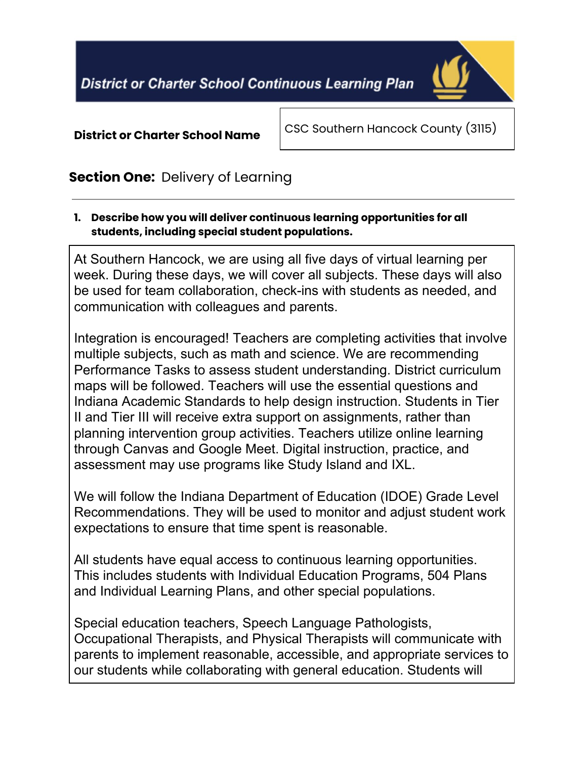

#### **District or Charter School Name**

CSC Southern Hancock County (3115)

# **Section One:** Delivery of Learning

**1. Describe how you will deliver continuous learning opportunities for all students, including special student populations.**

At Southern Hancock, we are using all five days of virtual learning per week. During these days, we will cover all subjects. These days will also be used for team collaboration, check-ins with students as needed, and communication with colleagues and parents.

Integration is encouraged! Teachers are completing activities that involve multiple subjects, such as math and science. We are recommending Performance Tasks to assess student understanding. District curriculum maps will be followed. Teachers will use the essential questions and Indiana Academic Standards to help design instruction. Students in Tier II and Tier III will receive extra support on assignments, rather than planning intervention group activities. Teachers utilize online learning through Canvas and Google Meet. Digital instruction, practice, and assessment may use programs like Study Island and IXL.

We will follow the Indiana Department of Education (IDOE) Grade Level Recommendations. They will be used to monitor and adjust student work expectations to ensure that time spent is reasonable.

All students have equal access to continuous learning opportunities. This includes students with Individual Education Programs, 504 Plans and Individual Learning Plans, and other special populations.

Special education teachers, Speech Language Pathologists, Occupational Therapists, and Physical Therapists will communicate with parents to implement reasonable, accessible, and appropriate services to our students while collaborating with general education. Students will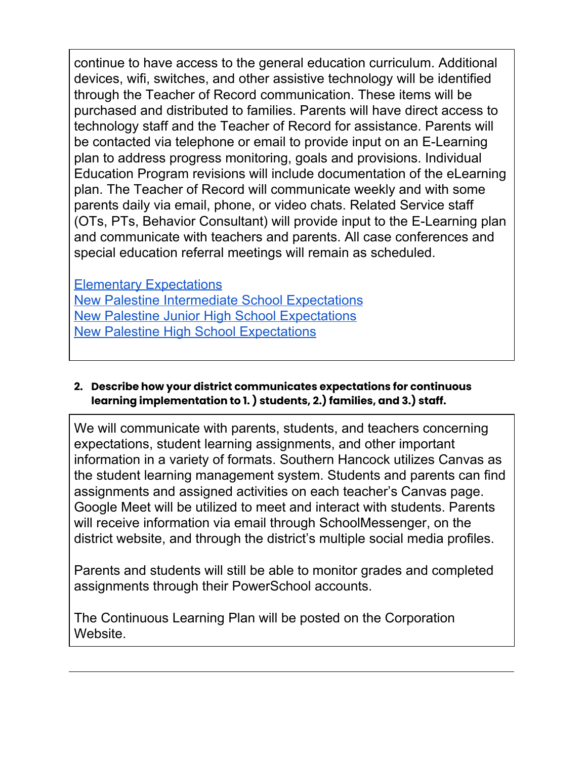continue to have access to the general education curriculum. Additional devices, wifi, switches, and other assistive technology will be identified through the Teacher of Record communication. These items will be purchased and distributed to families. Parents will have direct access to technology staff and the Teacher of Record for assistance. Parents will be contacted via telephone or email to provide input on an E-Learning plan to address progress monitoring, goals and provisions. Individual Education Program revisions will include documentation of the eLearning plan. The Teacher of Record will communicate weekly and with some parents daily via email, phone, or video chats. Related Service staff (OTs, PTs, Behavior Consultant) will provide input to the E-Learning plan and communicate with teachers and parents. All case conferences and special education referral meetings will remain as scheduled.

Elementary [Expectations](https://docs.google.com/document/d/1Cgk-Mj2o1zE2b1Ye6VGUf5QdZ3zdOpH1J6pbhh_xfKg/edit) New Palestine Intermediate School [Expectations](https://docs.google.com/document/d/16IAte3nJDoSagAAfNKmu2_sn-9vs0qn3KDpYD1puAUc/edit) New Palestine Junior High School [Expectations](http://www.newpal.k12.in.us/userfiles/323/My%20Files/Jr.%20High%20E-Learning%20Guidance%20for%20April%202020.pdf?id=3343) New Palestine High School [Expectations](https://docs.google.com/document/d/1wfA6MHMAYiFQygvWO-h457f42jW_orsovhVw0TDQHX4/edit)

**2. Describe how your district communicates expectations for continuous learning implementation to 1. ) students, 2.) families, and 3.) staff.**

We will communicate with parents, students, and teachers concerning expectations, student learning assignments, and other important information in a variety of formats. Southern Hancock utilizes Canvas as the student learning management system. Students and parents can find assignments and assigned activities on each teacher's Canvas page. Google Meet will be utilized to meet and interact with students. Parents will receive information via email through SchoolMessenger, on the district website, and through the district's multiple social media profiles.

Parents and students will still be able to monitor grades and completed assignments through their PowerSchool accounts.

The Continuous Learning Plan will be posted on the Corporation Website.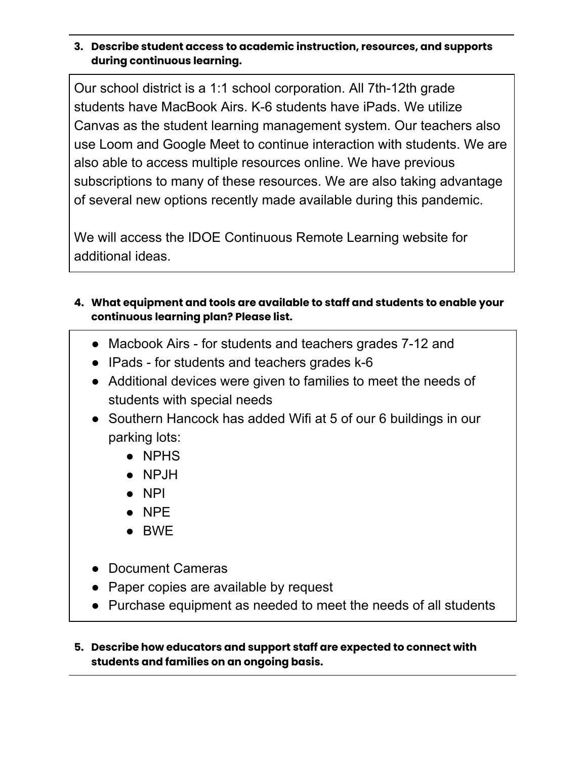#### **3. Describe student access to academic instruction, resources, and supports during continuous learning.**

Our school district is a 1:1 school corporation. All 7th-12th grade students have MacBook Airs. K-6 students have iPads. We utilize Canvas as the student learning management system. Our teachers also use Loom and Google Meet to continue interaction with students. We are also able to access multiple resources online. We have previous subscriptions to many of these resources. We are also taking advantage of several new options recently made available during this pandemic.

We will access the IDOE Continuous Remote Learning website for additional ideas.

- **4. What equipment and tools are available to staff and students to enable your continuous learning plan? Please list.**
	- Macbook Airs for students and teachers grades 7-12 and
	- IPads for students and teachers grades k-6
	- Additional devices were given to families to meet the needs of students with special needs
	- Southern Hancock has added Wifi at 5 of our 6 buildings in our parking lots:
		- NPHS
		- NPJH
		- NPI
		- NPE
		- BWE
	- Document Cameras
	- Paper copies are available by request
	- Purchase equipment as needed to meet the needs of all students

#### **5. Describe how educators and support staff are expected to connect with students and families on an ongoing basis.**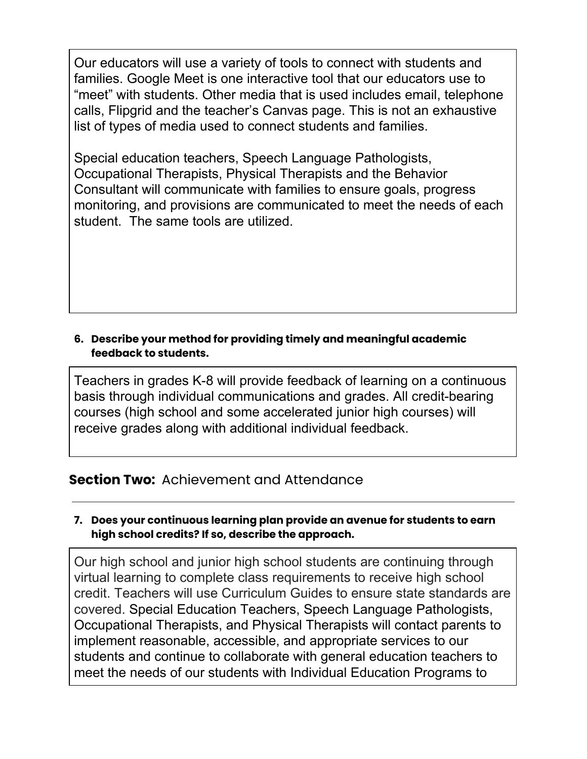Our educators will use a variety of tools to connect with students and families. Google Meet is one interactive tool that our educators use to "meet" with students. Other media that is used includes email, telephone calls, Flipgrid and the teacher's Canvas page. This is not an exhaustive list of types of media used to connect students and families.

Special education teachers, Speech Language Pathologists, Occupational Therapists, Physical Therapists and the Behavior Consultant will communicate with families to ensure goals, progress monitoring, and provisions are communicated to meet the needs of each student. The same tools are utilized.

### **6. Describe your method for providing timely and meaningful academic feedback to students.**

Teachers in grades K-8 will provide feedback of learning on a continuous basis through individual communications and grades. All credit-bearing courses (high school and some accelerated junior high courses) will receive grades along with additional individual feedback.

## **Section Two:** Achievement and Attendance

#### **7. Does your continuous learning plan provide an avenue for students to earn high school credits? If so, describe the approach.**

Our high school and junior high school students are continuing through virtual learning to complete class requirements to receive high school credit. Teachers will use Curriculum Guides to ensure state standards are covered. Special Education Teachers, Speech Language Pathologists, Occupational Therapists, and Physical Therapists will contact parents to implement reasonable, accessible, and appropriate services to our students and continue to collaborate with general education teachers to meet the needs of our students with Individual Education Programs to